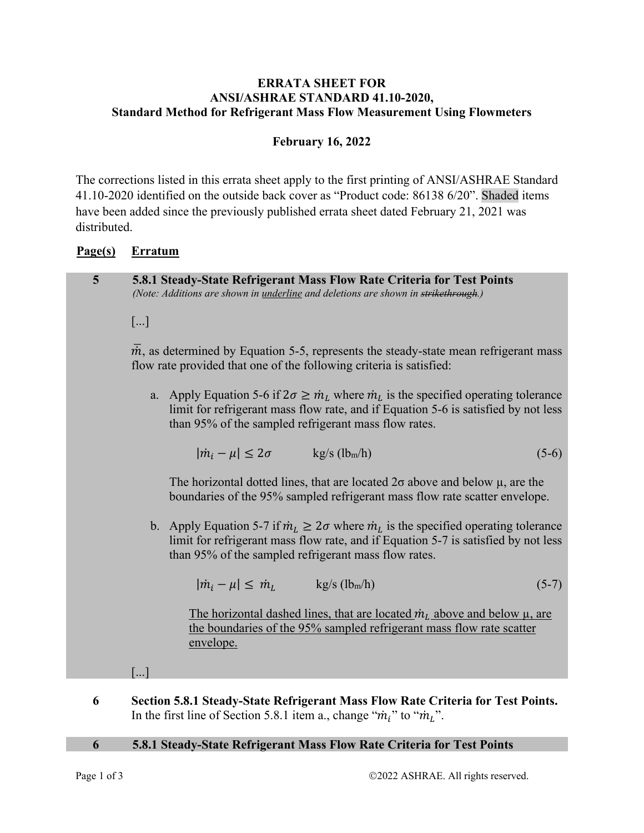## **ERRATA SHEET FOR ANSI/ASHRAE STANDARD 41.10-2020, Standard Method for Refrigerant Mass Flow Measurement Using Flowmeters**

# **February 16, 2022**

The corrections listed in this errata sheet apply to the first printing of ANSI/ASHRAE Standard 41.10-2020 identified on the outside back cover as "Product code: 86138 6/20". Shaded items have been added since the previously published errata sheet dated February 21, 2021 was distributed.

# **Page(s) Erratum**

| 5 | 5.8.1 Steady-State Refrigerant Mass Flow Rate Criteria for Test Points<br>(Note: Additions are shown in <i>underline</i> and deletions are shown in strikethrough.)      |                                                                                                                                                                                                                                            |                                                                                                                                                                                                                                                       |         |  |
|---|--------------------------------------------------------------------------------------------------------------------------------------------------------------------------|--------------------------------------------------------------------------------------------------------------------------------------------------------------------------------------------------------------------------------------------|-------------------------------------------------------------------------------------------------------------------------------------------------------------------------------------------------------------------------------------------------------|---------|--|
|   | []                                                                                                                                                                       |                                                                                                                                                                                                                                            |                                                                                                                                                                                                                                                       |         |  |
|   | $\overline{m}$ , as determined by Equation 5-5, represents the steady-state mean refrigerant mass<br>flow rate provided that one of the following criteria is satisfied: |                                                                                                                                                                                                                                            |                                                                                                                                                                                                                                                       |         |  |
|   |                                                                                                                                                                          | a. Apply Equation 5-6 if $2\sigma \geq m_L$ where $m_L$ is the specified operating tolerance<br>limit for refrigerant mass flow rate, and if Equation 5-6 is satisfied by not less<br>than 95% of the sampled refrigerant mass flow rates. |                                                                                                                                                                                                                                                       |         |  |
|   |                                                                                                                                                                          | $ \dot{m}_i - \mu  \leq 2\sigma$ kg/s (lbm/h)                                                                                                                                                                                              |                                                                                                                                                                                                                                                       | $(5-6)$ |  |
|   |                                                                                                                                                                          | The horizontal dotted lines, that are located $2\sigma$ above and below $\mu$ , are the<br>boundaries of the 95% sampled refrigerant mass flow rate scatter envelope.                                                                      |                                                                                                                                                                                                                                                       |         |  |
|   |                                                                                                                                                                          |                                                                                                                                                                                                                                            | b. Apply Equation 5-7 if $\dot{m}_L \ge 2\sigma$ where $\dot{m}_L$ is the specified operating tolerance<br>limit for refrigerant mass flow rate, and if Equation 5-7 is satisfied by not less<br>than 95% of the sampled refrigerant mass flow rates. |         |  |
|   |                                                                                                                                                                          | $ \dot{m}_i - \mu  \leq \dot{m}_L$ kg/s (lbm/h)                                                                                                                                                                                            |                                                                                                                                                                                                                                                       | $(5-7)$ |  |
|   |                                                                                                                                                                          | envelope.                                                                                                                                                                                                                                  | The horizontal dashed lines, that are located $\dot{m}_L$ above and below $\mu$ , are<br>the boundaries of the 95% sampled refrigerant mass flow rate scatter                                                                                         |         |  |
|   |                                                                                                                                                                          |                                                                                                                                                                                                                                            |                                                                                                                                                                                                                                                       |         |  |

**6 Section 5.8.1 Steady-State Refrigerant Mass Flow Rate Criteria for Test Points.**  In the first line of Section 5.8.1 item a., change " $\dot{m}_i$ " to " $\dot{m}_L$ ".

#### **6 5.8.1 Steady-State Refrigerant Mass Flow Rate Criteria for Test Points**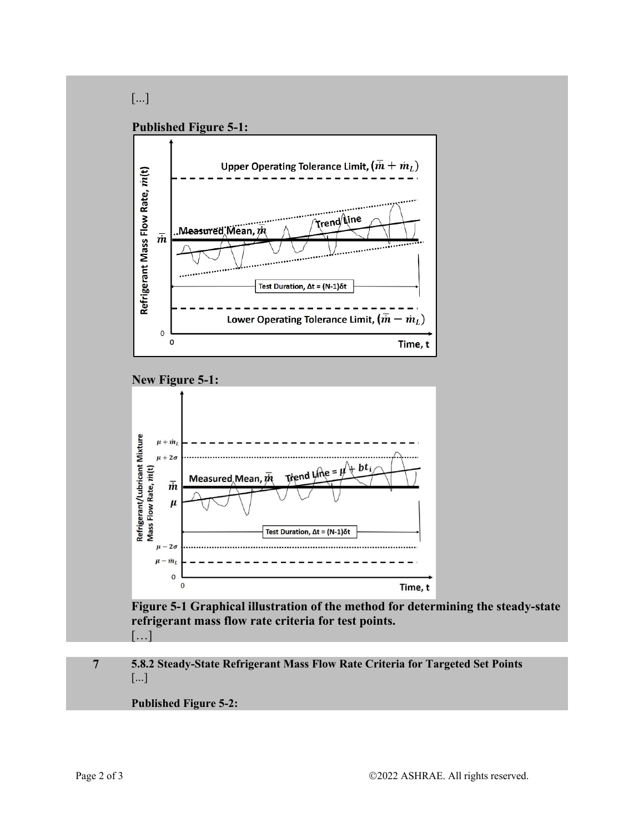# [...]

## **Published Figure 5-1:**



## **New Figure 5-1:**



**Figure 5-1 Graphical illustration of the method for determining the steady-state refrigerant mass flow rate criteria for test points.**  […]

### **7 5.8.2 Steady-State Refrigerant Mass Flow Rate Criteria for Targeted Set Points**  [...]

### **Published Figure 5-2:**